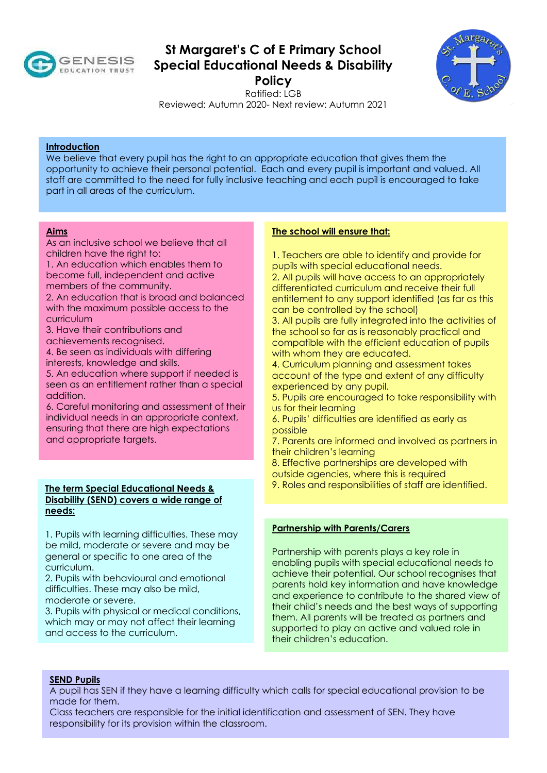

# **St Margaret's C of E Primary School Special Educational Needs & Disability**

**Policy** 



Ratified: LGB Reviewed: Autumn 2020- Next review: Autumn 2021

# **Introduction**

We believe that every pupil has the right to an appropriate education that gives them the opportunity to achieve their personal potential. Each and every pupil is important and valued. All staff are committed to the need for fully inclusive teaching and each pupil is encouraged to take part in all areas of the curriculum.

#### **Aims**

As an inclusive school we believe that all children have the right to:

1. An education which enables them to become full, independent and active members of the community.

2. An education that is broad and balanced with the maximum possible access to the curriculum

3. Have their contributions and achievements recognised.

4. Be seen as individuals with differing interests, knowledge and skills.

5. An education where support if needed is seen as an entitlement rather than a special addition.

6. Careful monitoring and assessment of their individual needs in an appropriate context, ensuring that there are high expectations and appropriate targets.

# **The term Special Educational Needs & Disability (SEND) covers a wide range of needs:**

1. Pupils with learning difficulties. These may be mild, moderate or severe and may be general or specific to one area of the curriculum.

2. Pupils with behavioural and emotional difficulties. These may also be mild, moderate or severe.

3. Pupils with physical or medical conditions, which may or may not affect their learning and access to the curriculum.

# **The school will ensure that:**

1. Teachers are able to identify and provide for pupils with special educational needs.

2. All pupils will have access to an appropriately differentiated curriculum and receive their full entitlement to any support identified (as far as this can be controlled by the school)

3. All pupils are fully integrated into the activities of the school so far as is reasonably practical and compatible with the efficient education of pupils with whom they are educated.

4. Curriculum planning and assessment takes account of the type and extent of any difficulty experienced by any pupil.

5. Pupils are encouraged to take responsibility with us for their learning

6. Pupils' difficulties are identified as early as possible

7. Parents are informed and involved as partners in their children's learning

8. Effective partnerships are developed with outside agencies, where this is required

9. Roles and responsibilities of staff are identified.

# **Partnership with Parents/Carers**

Partnership with parents plays a key role in enabling pupils with special educational needs to achieve their potential. Our school recognises that parents hold key information and have knowledge and experience to contribute to the shared view of their child's needs and the best ways of supporting them. All parents will be treated as partners and supported to play an active and valued role in their children's education.

## **SEND Pupils**

A pupil has SEN if they have a learning difficulty which calls for special educational provision to be made for them.

Class teachers are responsible for the initial identification and assessment of SEN. They have responsibility for its provision within the classroom.